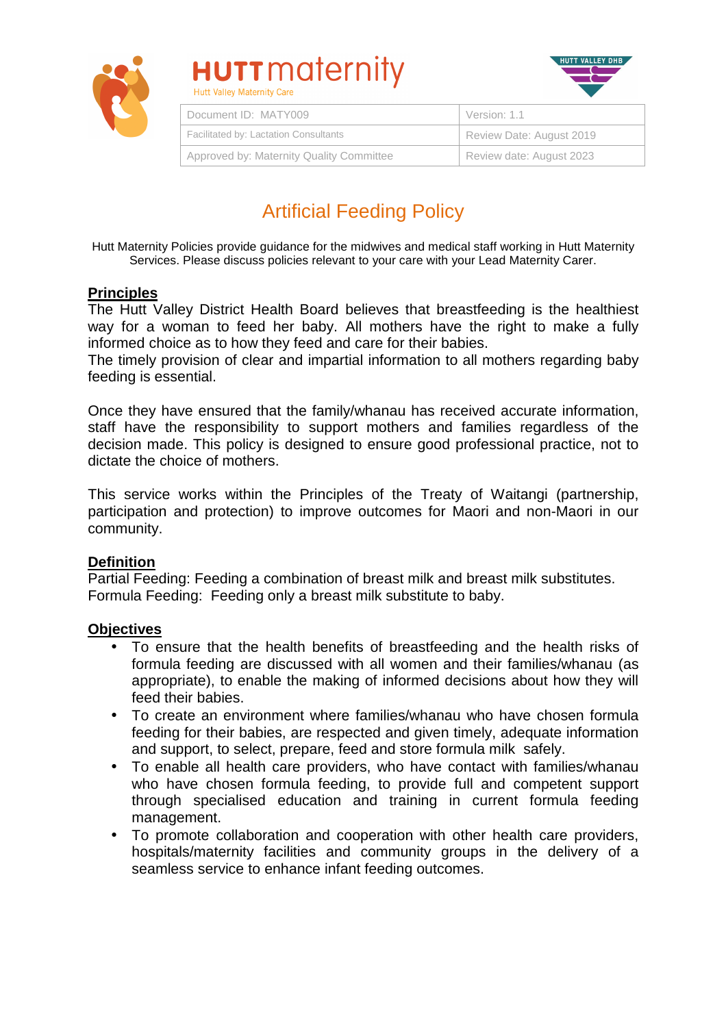

# **HUTT** maternity



| Document ID: MATY009                     | Version: 1.1             |
|------------------------------------------|--------------------------|
| Facilitated by: Lactation Consultants    | Review Date: August 2019 |
| Approved by: Maternity Quality Committee | Review date: August 2023 |

# Artificial Feeding Policy

Hutt Maternity Policies provide guidance for the midwives and medical staff working in Hutt Maternity Services. Please discuss policies relevant to your care with your Lead Maternity Carer.

#### **Principles**

The Hutt Valley District Health Board believes that breastfeeding is the healthiest way for a woman to feed her baby. All mothers have the right to make a fully informed choice as to how they feed and care for their babies.

The timely provision of clear and impartial information to all mothers regarding baby feeding is essential.

Once they have ensured that the family/whanau has received accurate information, staff have the responsibility to support mothers and families regardless of the decision made. This policy is designed to ensure good professional practice, not to dictate the choice of mothers.

This service works within the Principles of the Treaty of Waitangi (partnership, participation and protection) to improve outcomes for Maori and non-Maori in our community.

#### **Definition**

Partial Feeding: Feeding a combination of breast milk and breast milk substitutes. Formula Feeding: Feeding only a breast milk substitute to baby.

#### **Objectives**

- To ensure that the health benefits of breastfeeding and the health risks of formula feeding are discussed with all women and their families/whanau (as appropriate), to enable the making of informed decisions about how they will feed their babies.
- To create an environment where families/whanau who have chosen formula feeding for their babies, are respected and given timely, adequate information and support, to select, prepare, feed and store formula milk safely.
- To enable all health care providers, who have contact with families/whanau who have chosen formula feeding, to provide full and competent support through specialised education and training in current formula feeding management.
- To promote collaboration and cooperation with other health care providers, hospitals/maternity facilities and community groups in the delivery of a seamless service to enhance infant feeding outcomes.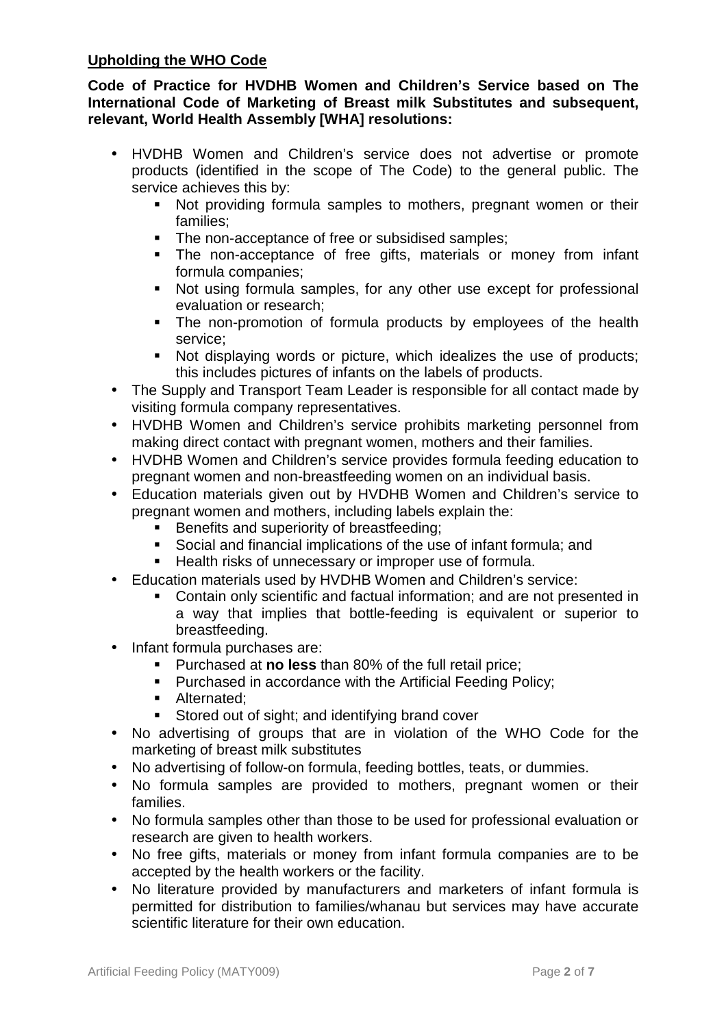#### **Upholding the WHO Code**

**Code of Practice for HVDHB Women and Children's Service based on The International Code of Marketing of Breast milk Substitutes and subsequent, relevant, World Health Assembly [WHA] resolutions:** 

- HVDHB Women and Children's service does not advertise or promote products (identified in the scope of The Code) to the general public. The service achieves this by:
	- Not providing formula samples to mothers, pregnant women or their families;
	- The non-acceptance of free or subsidised samples;
	- The non-acceptance of free gifts, materials or money from infant formula companies;
	- Not using formula samples, for any other use except for professional evaluation or research;
	- The non-promotion of formula products by employees of the health service;
	- Not displaying words or picture, which idealizes the use of products; this includes pictures of infants on the labels of products.
- The Supply and Transport Team Leader is responsible for all contact made by visiting formula company representatives.
- HVDHB Women and Children's service prohibits marketing personnel from making direct contact with pregnant women, mothers and their families.
- HVDHB Women and Children's service provides formula feeding education to pregnant women and non-breastfeeding women on an individual basis.
- Education materials given out by HVDHB Women and Children's service to pregnant women and mothers, including labels explain the:
	- Benefits and superiority of breastfeeding;
	- Social and financial implications of the use of infant formula; and
	- Health risks of unnecessary or improper use of formula.
- Education materials used by HVDHB Women and Children's service:
	- Contain only scientific and factual information; and are not presented in a way that implies that bottle-feeding is equivalent or superior to breastfeeding.
- Infant formula purchases are:
	- Purchased at **no less** than 80% of the full retail price;
	- **Purchased in accordance with the Artificial Feeding Policy;**
	- **Alternated**;
	- Stored out of sight; and identifying brand cover
- No advertising of groups that are in violation of the WHO Code for the marketing of breast milk substitutes
- No advertising of follow-on formula, feeding bottles, teats, or dummies.
- No formula samples are provided to mothers, pregnant women or their families.
- No formula samples other than those to be used for professional evaluation or research are given to health workers.
- No free gifts, materials or money from infant formula companies are to be accepted by the health workers or the facility.
- No literature provided by manufacturers and marketers of infant formula is permitted for distribution to families/whanau but services may have accurate scientific literature for their own education.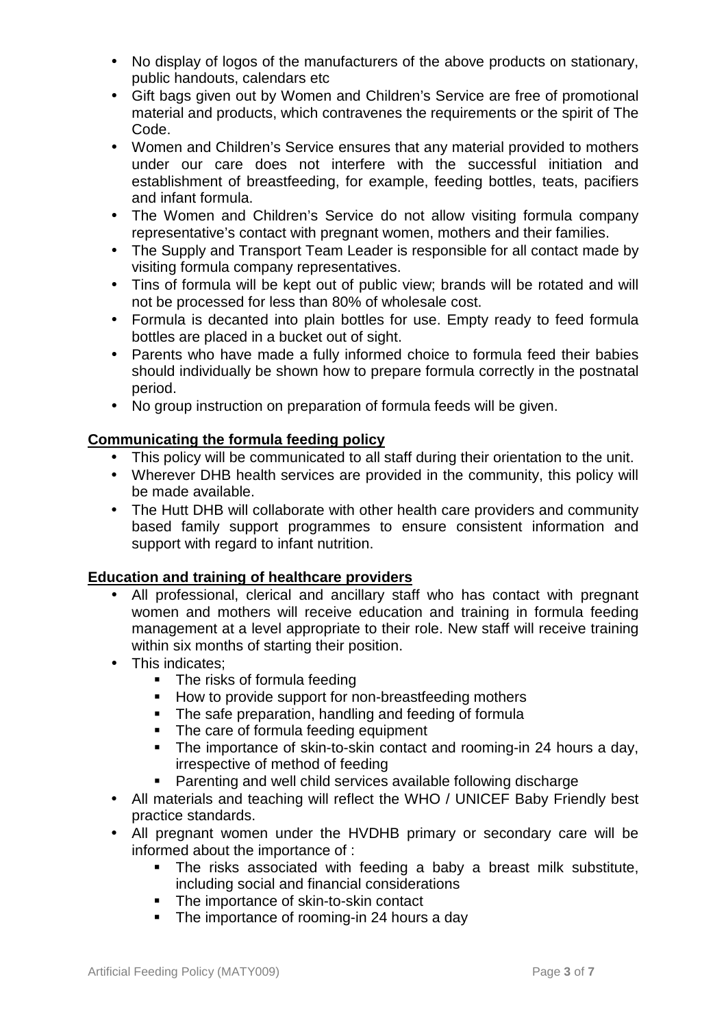- No display of logos of the manufacturers of the above products on stationary, public handouts, calendars etc
- Gift bags given out by Women and Children's Service are free of promotional material and products, which contravenes the requirements or the spirit of The Code.
- Women and Children's Service ensures that any material provided to mothers under our care does not interfere with the successful initiation and establishment of breastfeeding, for example, feeding bottles, teats, pacifiers and infant formula.
- The Women and Children's Service do not allow visiting formula company representative's contact with pregnant women, mothers and their families.
- The Supply and Transport Team Leader is responsible for all contact made by visiting formula company representatives.
- Tins of formula will be kept out of public view; brands will be rotated and will not be processed for less than 80% of wholesale cost.
- Formula is decanted into plain bottles for use. Empty ready to feed formula bottles are placed in a bucket out of sight.
- Parents who have made a fully informed choice to formula feed their babies should individually be shown how to prepare formula correctly in the postnatal period.
- No group instruction on preparation of formula feeds will be given.

# **Communicating the formula feeding policy**

- This policy will be communicated to all staff during their orientation to the unit.
- Wherever DHB health services are provided in the community, this policy will be made available.
- The Hutt DHB will collaborate with other health care providers and community based family support programmes to ensure consistent information and support with regard to infant nutrition.

### **Education and training of healthcare providers**

- All professional, clerical and ancillary staff who has contact with pregnant women and mothers will receive education and training in formula feeding management at a level appropriate to their role. New staff will receive training within six months of starting their position.
- This indicates:
	- The risks of formula feeding
	- **How to provide support for non-breastfeeding mothers**
	- The safe preparation, handling and feeding of formula
	- The care of formula feeding equipment
	- The importance of skin-to-skin contact and rooming-in 24 hours a day, irrespective of method of feeding
	- Parenting and well child services available following discharge
- All materials and teaching will reflect the WHO / UNICEF Baby Friendly best practice standards.
- All pregnant women under the HVDHB primary or secondary care will be informed about the importance of :
	- The risks associated with feeding a baby a breast milk substitute, including social and financial considerations
	- The importance of skin-to-skin contact
	- The importance of rooming-in 24 hours a day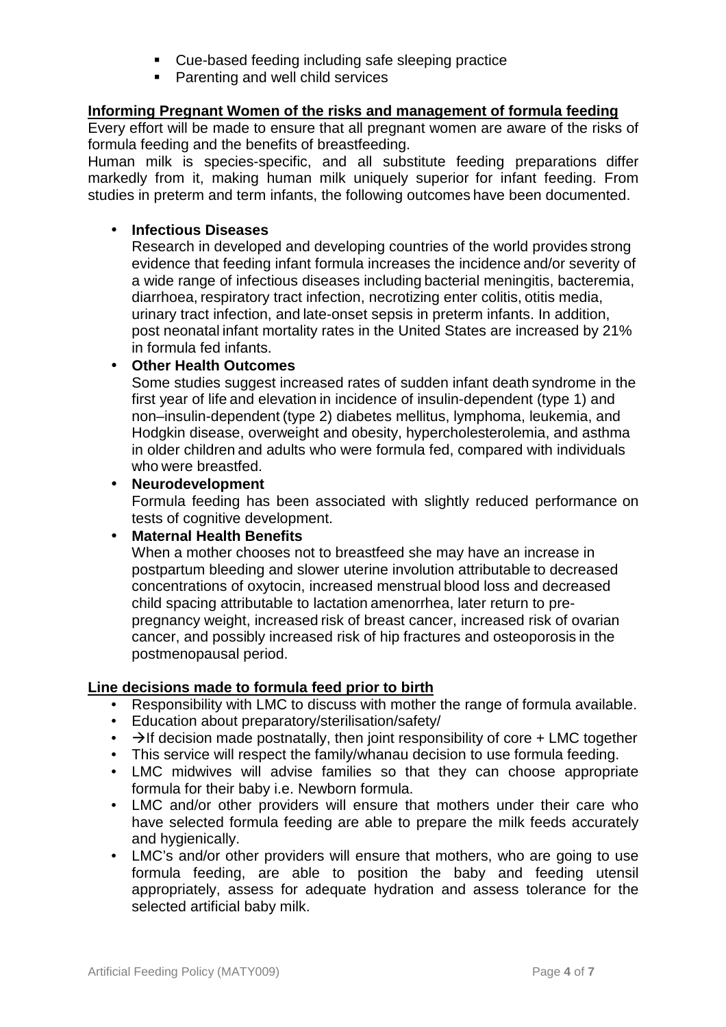- Cue-based feeding including safe sleeping practice
- **Parenting and well child services**

#### **Informing Pregnant Women of the risks and management of formula feeding**

Every effort will be made to ensure that all pregnant women are aware of the risks of formula feeding and the benefits of breastfeeding.

Human milk is species-specific, and all substitute feeding preparations differ markedly from it, making human milk uniquely superior for infant feeding. From studies in preterm and term infants, the following outcomes have been documented.

#### • **Infectious Diseases**

Research in developed and developing countries of the world provides strong evidence that feeding infant formula increases the incidence and/or severity of a wide range of infectious diseases including bacterial meningitis, bacteremia, diarrhoea, respiratory tract infection, necrotizing enter colitis, otitis media, urinary tract infection, and late-onset sepsis in preterm infants. In addition, post neonatal infant mortality rates in the United States are increased by 21% in formula fed infants.

#### • **Other Health Outcomes**

Some studies suggest increased rates of sudden infant death syndrome in the first year of life and elevation in incidence of insulin-dependent (type 1) and non–insulin-dependent (type 2) diabetes mellitus, lymphoma, leukemia, and Hodgkin disease, overweight and obesity, hypercholesterolemia, and asthma in older children and adults who were formula fed, compared with individuals who were breastfed.

#### • **Neurodevelopment**

Formula feeding has been associated with slightly reduced performance on tests of cognitive development.

#### • **Maternal Health Benefits**

When a mother chooses not to breastfeed she may have an increase in postpartum bleeding and slower uterine involution attributable to decreased concentrations of oxytocin, increased menstrual blood loss and decreased child spacing attributable to lactation amenorrhea, later return to prepregnancy weight, increased risk of breast cancer, increased risk of ovarian cancer, and possibly increased risk of hip fractures and osteoporosis in the postmenopausal period.

#### **Line decisions made to formula feed prior to birth**

- Responsibility with LMC to discuss with mother the range of formula available.
- Education about preparatory/sterilisation/safety/
- $\rightarrow$   $\rightarrow$  If decision made postnatally, then joint responsibility of core + LMC together
- This service will respect the family/whanau decision to use formula feeding.
- LMC midwives will advise families so that they can choose appropriate formula for their baby i.e. Newborn formula.
- LMC and/or other providers will ensure that mothers under their care who have selected formula feeding are able to prepare the milk feeds accurately and hygienically.
- LMC's and/or other providers will ensure that mothers, who are going to use formula feeding, are able to position the baby and feeding utensil appropriately, assess for adequate hydration and assess tolerance for the selected artificial baby milk.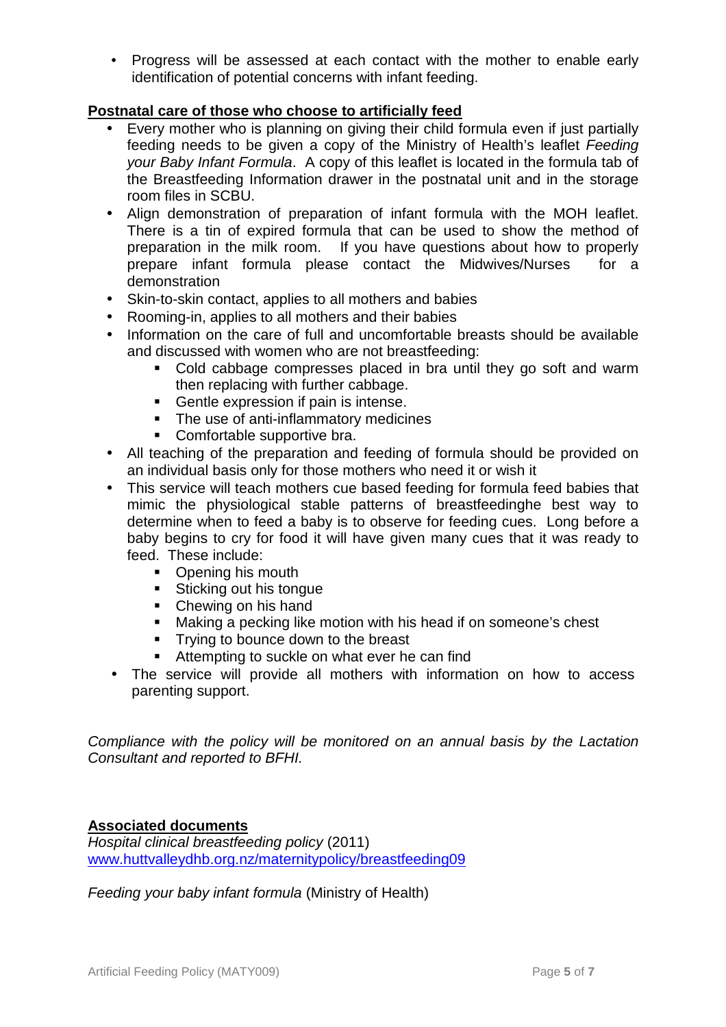• Progress will be assessed at each contact with the mother to enable early identification of potential concerns with infant feeding.

## **Postnatal care of those who choose to artificially feed**

- Every mother who is planning on giving their child formula even if just partially feeding needs to be given a copy of the Ministry of Health's leaflet Feeding your Baby Infant Formula. A copy of this leaflet is located in the formula tab of the Breastfeeding Information drawer in the postnatal unit and in the storage room files in SCBU.
- Align demonstration of preparation of infant formula with the MOH leaflet. There is a tin of expired formula that can be used to show the method of preparation in the milk room. If you have questions about how to properly prepare infant formula please contact the Midwives/Nurses for a demonstration
- Skin-to-skin contact, applies to all mothers and babies
- Rooming-in, applies to all mothers and their babies
- Information on the care of full and uncomfortable breasts should be available and discussed with women who are not breastfeeding:
	- Cold cabbage compresses placed in bra until they go soft and warm then replacing with further cabbage.
	- Gentle expression if pain is intense.
	- The use of anti-inflammatory medicines
	- **Comfortable supportive bra.**
- All teaching of the preparation and feeding of formula should be provided on an individual basis only for those mothers who need it or wish it
- This service will teach mothers cue based feeding for formula feed babies that mimic the physiological stable patterns of breastfeedinghe best way to determine when to feed a baby is to observe for feeding cues. Long before a baby begins to cry for food it will have given many cues that it was ready to feed. These include:
	- Opening his mouth
	- **Sticking out his tongue**
	- Chewing on his hand
	- Making a pecking like motion with his head if on someone's chest
	- **Trying to bounce down to the breast**
	- **Attempting to suckle on what ever he can find**
- The service will provide all mothers with information on how to access parenting support.

Compliance with the policy will be monitored on an annual basis by the Lactation Consultant and reported to BFHI.

#### **Associated documents**

Hospital clinical breastfeeding policy (2011) www.huttvalleydhb.org.nz/maternitypolicy/breastfeeding09

Feeding your baby infant formula (Ministry of Health)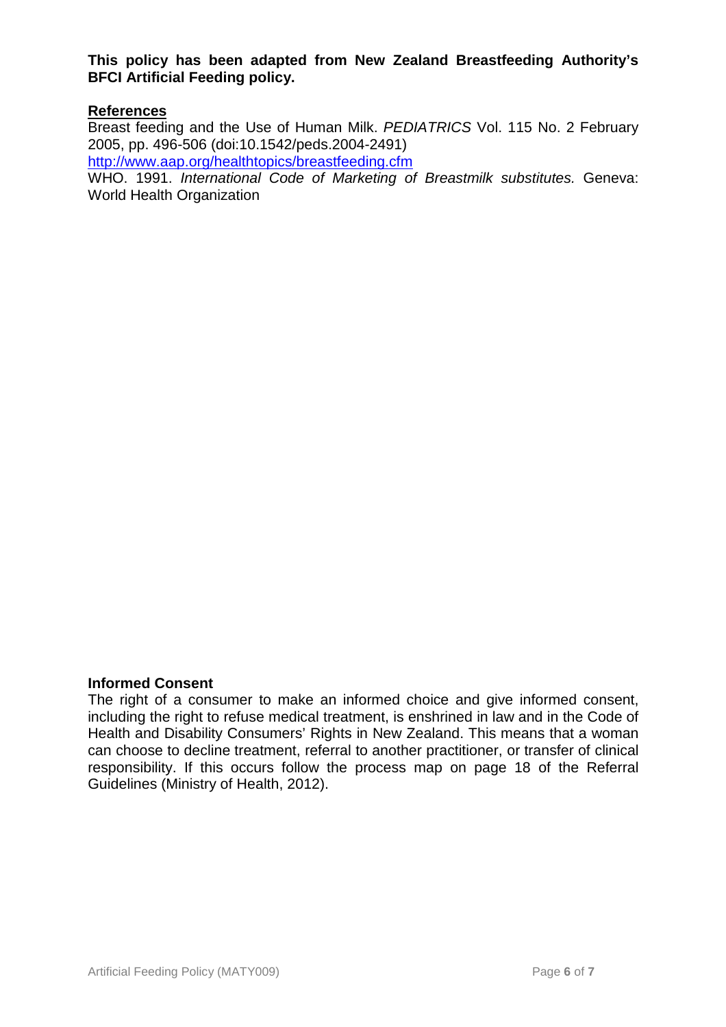**This policy has been adapted from New Zealand Breastfeeding Authority's BFCI Artificial Feeding policy.** 

#### **References**

Breast feeding and the Use of Human Milk. PEDIATRICS Vol. 115 No. 2 February 2005, pp. 496-506 (doi:10.1542/peds.2004-2491)

http://www.aap.org/healthtopics/breastfeeding.cfm

WHO. 1991. International Code of Marketing of Breastmilk substitutes. Geneva: World Health Organization

#### **Informed Consent**

The right of a consumer to make an informed choice and give informed consent, including the right to refuse medical treatment, is enshrined in law and in the Code of Health and Disability Consumers' Rights in New Zealand. This means that a woman can choose to decline treatment, referral to another practitioner, or transfer of clinical responsibility. If this occurs follow the process map on page 18 of the Referral Guidelines (Ministry of Health, 2012).